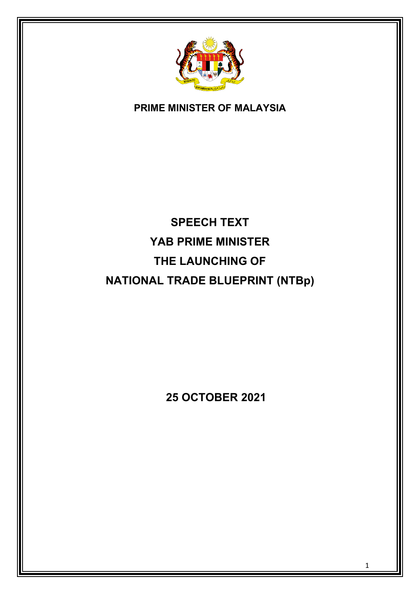

## **PRIME MINISTER OF MALAYSIA**

# **SPEECH TEXT YAB PRIME MINISTER THE LAUNCHING OF NATIONAL TRADE BLUEPRINT (NTBp)**

 **25 OCTOBER 2021**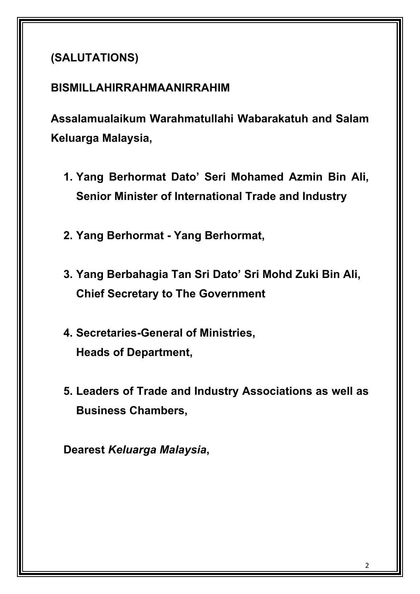## **(SALUTATIONS)**

## **BISMILLAHIRRAHMAANIRRAHIM**

**Assalamualaikum Warahmatullahi Wabarakatuh and Salam Keluarga Malaysia,**

- **1. Yang Berhormat Dato' Seri Mohamed Azmin Bin Ali, Senior Minister of International Trade and Industry**
- **2. Yang Berhormat - Yang Berhormat,**
- **3. Yang Berbahagia Tan Sri Dato' Sri Mohd Zuki Bin Ali, Chief Secretary to The Government**
- **4. Secretaries-General of Ministries, Heads of Department,**
- **5. Leaders of Trade and Industry Associations as well as Business Chambers,**

**Dearest** *Keluarga Malaysia***,**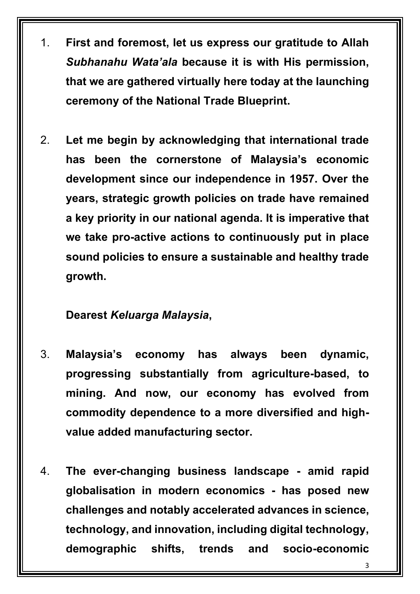- 1. **First and foremost, let us express our gratitude to Allah**  *Subhanahu Wata'ala* **because it is with His permission, that we are gathered virtually here today at the launching ceremony of the National Trade Blueprint.**
- 2. **Let me begin by acknowledging that international trade has been the cornerstone of Malaysia's economic development since our independence in 1957. Over the years, strategic growth policies on trade have remained a key priority in our national agenda. It is imperative that we take pro-active actions to continuously put in place sound policies to ensure a sustainable and healthy trade growth.**

## **Dearest** *Keluarga Malaysia***,**

- 3. **Malaysia's economy has always been dynamic, progressing substantially from agriculture-based, to mining. And now, our economy has evolved from commodity dependence to a more diversified and highvalue added manufacturing sector.**
- 4. **The ever-changing business landscape - amid rapid globalisation in modern economics - has posed new challenges and notably accelerated advances in science, technology, and innovation, including digital technology, demographic shifts, trends and socio-economic**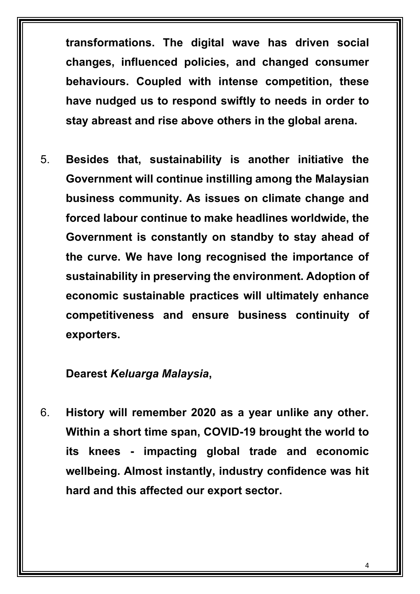**transformations. The digital wave has driven social changes, influenced policies, and changed consumer behaviours. Coupled with intense competition, these have nudged us to respond swiftly to needs in order to stay abreast and rise above others in the global arena.** 

5. **Besides that, sustainability is another initiative the Government will continue instilling among the Malaysian business community. As issues on climate change and forced labour continue to make headlines worldwide, the Government is constantly on standby to stay ahead of the curve. We have long recognised the importance of sustainability in preserving the environment. Adoption of economic sustainable practices will ultimately enhance competitiveness and ensure business continuity of exporters.**

#### **Dearest** *Keluarga Malaysia***,**

6. **History will remember 2020 as a year unlike any other. Within a short time span, COVID-19 brought the world to its knees - impacting global trade and economic wellbeing. Almost instantly, industry confidence was hit hard and this affected our export sector.**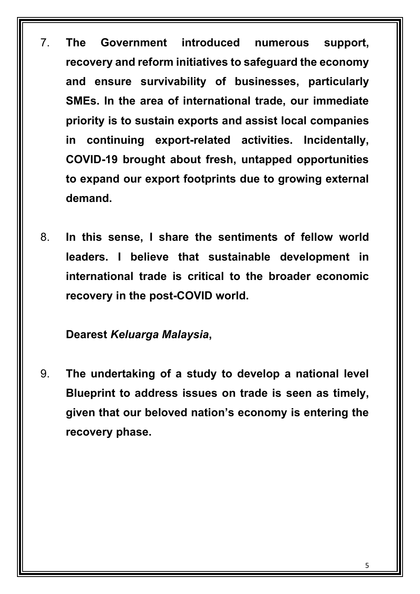- 7. **The Government introduced numerous support, recovery and reform initiatives to safeguard the economy and ensure survivability of businesses, particularly SMEs. In the area of international trade, our immediate priority is to sustain exports and assist local companies in continuing export-related activities. Incidentally, COVID-19 brought about fresh, untapped opportunities to expand our export footprints due to growing external demand.**
- 8. **In this sense, I share the sentiments of fellow world leaders. I believe that sustainable development in international trade is critical to the broader economic recovery in the post-COVID world.**

### **Dearest** *Keluarga Malaysia***,**

9. **The undertaking of a study to develop a national level Blueprint to address issues on trade is seen as timely, given that our beloved nation's economy is entering the recovery phase.**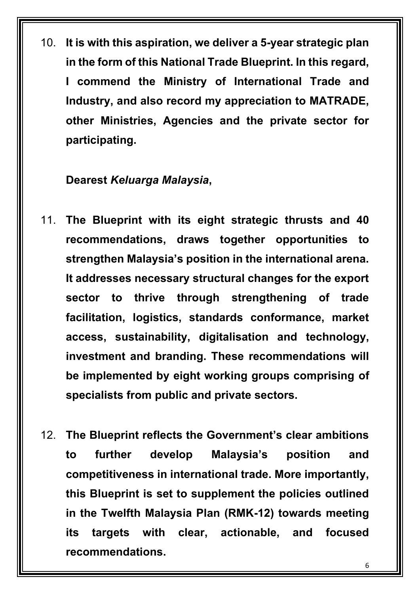10. **It is with this aspiration, we deliver a 5-year strategic plan in the form of this National Trade Blueprint. In this regard, I commend the Ministry of International Trade and Industry, and also record my appreciation to MATRADE, other Ministries, Agencies and the private sector for participating.** 

#### **Dearest** *Keluarga Malaysia***,**

- 11. **The Blueprint with its eight strategic thrusts and 40 recommendations, draws together opportunities to strengthen Malaysia's position in the international arena. It addresses necessary structural changes for the export sector to thrive through strengthening of trade facilitation, logistics, standards conformance, market access, sustainability, digitalisation and technology, investment and branding. These recommendations will be implemented by eight working groups comprising of specialists from public and private sectors.**
- 12. **The Blueprint reflects the Government's clear ambitions to further develop Malaysia's position and competitiveness in international trade. More importantly, this Blueprint is set to supplement the policies outlined in the Twelfth Malaysia Plan (RMK-12) towards meeting its targets with clear, actionable, and focused recommendations.**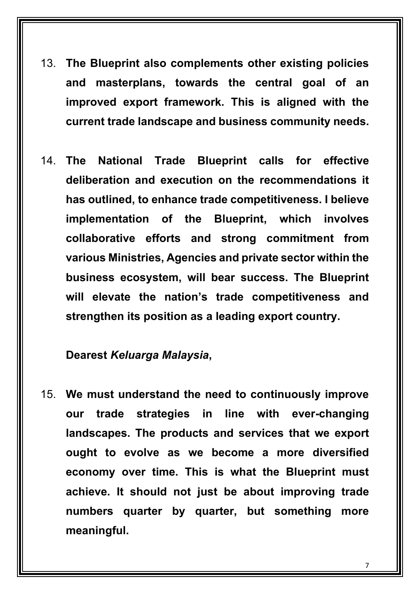- 13. **The Blueprint also complements other existing policies and masterplans, towards the central goal of an improved export framework. This is aligned with the current trade landscape and business community needs.**
- 14. **The National Trade Blueprint calls for effective deliberation and execution on the recommendations it has outlined, to enhance trade competitiveness. I believe implementation of the Blueprint, which involves collaborative efforts and strong commitment from various Ministries, Agencies and private sector within the business ecosystem, will bear success. The Blueprint will elevate the nation's trade competitiveness and strengthen its position as a leading export country.**

#### **Dearest** *Keluarga Malaysia***,**

15. **We must understand the need to continuously improve our trade strategies in line with ever-changing landscapes. The products and services that we export ought to evolve as we become a more diversified economy over time. This is what the Blueprint must achieve. It should not just be about improving trade numbers quarter by quarter, but something more meaningful.**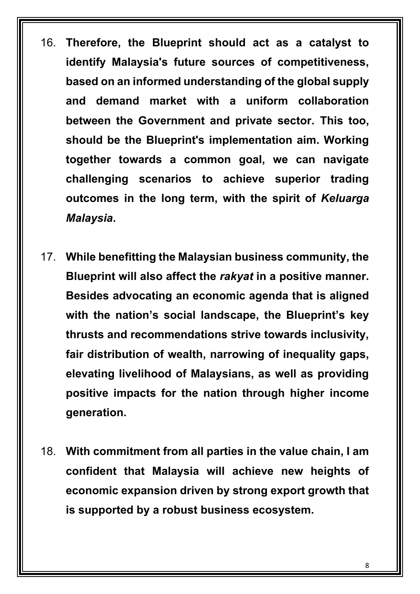- 16. **Therefore, the Blueprint should act as a catalyst to identify Malaysia's future sources of competitiveness, based on an informed understanding of the global supply and demand market with a uniform collaboration between the Government and private sector. This too, should be the Blueprint's implementation aim. Working together towards a common goal, we can navigate challenging scenarios to achieve superior trading outcomes in the long term, with the spirit of** *Keluarga Malaysia***.**
- 17. **While benefitting the Malaysian business community, the Blueprint will also affect the** *rakyat* **in a positive manner. Besides advocating an economic agenda that is aligned with the nation's social landscape, the Blueprint's key thrusts and recommendations strive towards inclusivity, fair distribution of wealth, narrowing of inequality gaps, elevating livelihood of Malaysians, as well as providing positive impacts for the nation through higher income generation.**
- 18. **With commitment from all parties in the value chain, I am confident that Malaysia will achieve new heights of economic expansion driven by strong export growth that is supported by a robust business ecosystem.**